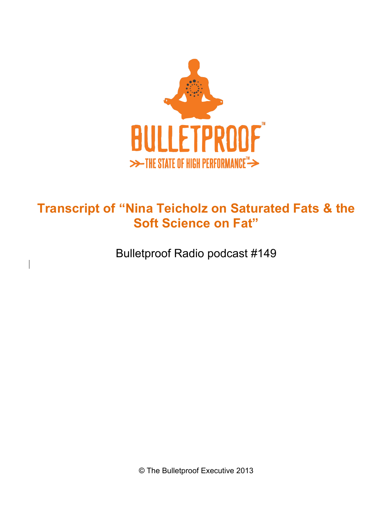

## **Transcript of "Nina Teicholz on Saturated Fats & the Soft Science on Fat"**

Bulletproof Radio podcast #149

 $\overline{\phantom{a}}$ 

© The Bulletproof Executive 2013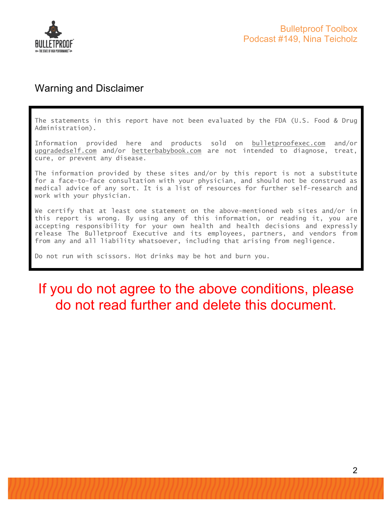

#### Warning and Disclaimer

The statements in this report have not been evaluated by the FDA (U.S. Food & Drug Administration).

Information provided here and products sold on bulletproofexec.com and/or upgradedself.com and/or betterbabybook.com are not intended to diagnose, treat, cure, or prevent any disease.

The information provided by these sites and/or by this report is not a substitute for a face-to-face consultation with your physician, and should not be construed as medical advice of any sort. It is a list of resources for further self-research and work with your physician.

We certify that at least one statement on the above-mentioned web sites and/or in this report is wrong. By using any of this information, or reading it, you are accepting responsibility for your own health and health decisions and expressly release The Bulletproof Executive and its employees, partners, and vendors from from any and all liability whatsoever, including that arising from negligence.

Do not run with scissors. Hot drinks may be hot and burn you.

# If you do not agree to the above conditions, please do not read further and delete this document.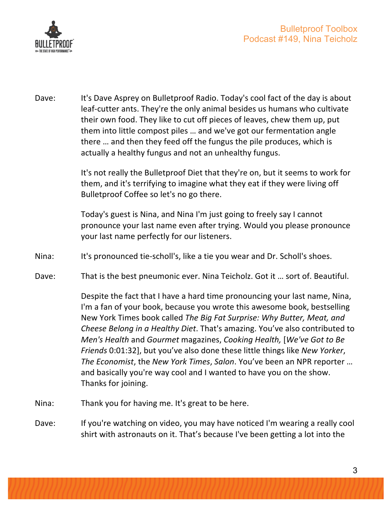

Dave: It's Dave Asprey on Bulletproof Radio. Today's cool fact of the day is about leaf-cutter ants. They're the only animal besides us humans who cultivate their own food. They like to cut off pieces of leaves, chew them up, put them into little compost piles ... and we've got our fermentation angle there ... and then they feed off the fungus the pile produces, which is actually a healthy fungus and not an unhealthy fungus.

> It's not really the Bulletproof Diet that they're on, but it seems to work for them, and it's terrifying to imagine what they eat if they were living off Bulletproof Coffee so let's no go there.

> Today's guest is Nina, and Nina I'm just going to freely say I cannot pronounce your last name even after trying. Would you please pronounce your last name perfectly for our listeners.

- Nina: It's pronounced tie-scholl's, like a tie you wear and Dr. Scholl's shoes.
- Dave: That is the best pneumonic ever. Nina Teicholz. Got it ... sort of. Beautiful.

Despite the fact that I have a hard time pronouncing your last name, Nina, I'm a fan of your book, because you wrote this awesome book, bestselling New York Times book called *The Big Fat Surprise: Why Butter, Meat, and Cheese Belong in a Healthy Diet.* That's amazing. You've also contributed to *Men's* Health and *Gourmet* magazines, *Cooking Health*, [*We've Got to Be Friends* 0:01:32], but you've also done these little things like *New Yorker*, *The Economist*, the *New York Times*, *Salon*. You've been an NPR reporter ... and basically you're way cool and I wanted to have you on the show. Thanks for joining.

- Nina: Thank you for having me. It's great to be here.
- Dave: If you're watching on video, you may have noticed I'm wearing a really cool shirt with astronauts on it. That's because I've been getting a lot into the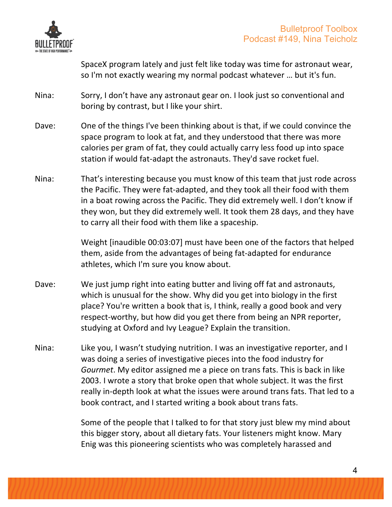

SpaceX program lately and just felt like today was time for astronaut wear, so I'm not exactly wearing my normal podcast whatever ... but it's fun.

- Nina: Sorry, I don't have any astronaut gear on. I look just so conventional and boring by contrast, but I like your shirt.
- Dave: One of the things I've been thinking about is that, if we could convince the space program to look at fat, and they understood that there was more calories per gram of fat, they could actually carry less food up into space station if would fat-adapt the astronauts. They'd save rocket fuel.
- Nina: That's interesting because you must know of this team that just rode across the Pacific. They were fat-adapted, and they took all their food with them in a boat rowing across the Pacific. They did extremely well. I don't know if they won, but they did extremely well. It took them 28 days, and they have to carry all their food with them like a spaceship.

Weight [inaudible 00:03:07] must have been one of the factors that helped them, aside from the advantages of being fat-adapted for endurance athletes, which I'm sure you know about.

- Dave: We just jump right into eating butter and living off fat and astronauts, which is unusual for the show. Why did you get into biology in the first place? You're written a book that is, I think, really a good book and very respect-worthy, but how did you get there from being an NPR reporter, studying at Oxford and Ivy League? Explain the transition.
- Nina: Like you, I wasn't studying nutrition. I was an investigative reporter, and I was doing a series of investigative pieces into the food industry for *Gourmet*. My editor assigned me a piece on trans fats. This is back in like 2003. I wrote a story that broke open that whole subject. It was the first really in-depth look at what the issues were around trans fats. That led to a book contract, and I started writing a book about trans fats.

Some of the people that I talked to for that story just blew my mind about this bigger story, about all dietary fats. Your listeners might know. Mary Enig was this pioneering scientists who was completely harassed and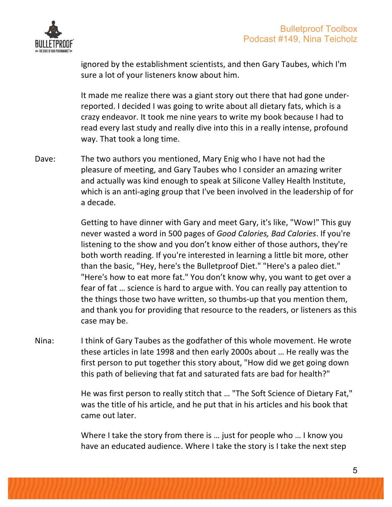

ignored by the establishment scientists, and then Gary Taubes, which I'm sure a lot of your listeners know about him.

It made me realize there was a giant story out there that had gone underreported. I decided I was going to write about all dietary fats, which is a crazy endeavor. It took me nine years to write my book because I had to read every last study and really dive into this in a really intense, profound way. That took a long time.

Dave: The two authors you mentioned, Mary Enig who I have not had the pleasure of meeting, and Gary Taubes who I consider an amazing writer and actually was kind enough to speak at Silicone Valley Health Institute, which is an anti-aging group that I've been involved in the leadership of for a decade.

> Getting to have dinner with Gary and meet Gary, it's like, "Wow!" This guy never wasted a word in 500 pages of *Good Calories, Bad Calories*. If you're listening to the show and you don't know either of those authors, they're both worth reading. If you're interested in learning a little bit more, other than the basic, "Hey, here's the Bulletproof Diet." "Here's a paleo diet." "Here's how to eat more fat." You don't know why, you want to get over a fear of fat ... science is hard to argue with. You can really pay attention to the things those two have written, so thumbs-up that you mention them, and thank you for providing that resource to the readers, or listeners as this case may be.

Nina: I think of Gary Taubes as the godfather of this whole movement. He wrote these articles in late 1998 and then early 2000s about ... He really was the first person to put together this story about, "How did we get going down this path of believing that fat and saturated fats are bad for health?"

> He was first person to really stitch that ... "The Soft Science of Dietary Fat," was the title of his article, and he put that in his articles and his book that came out later.

Where I take the story from there is ... just for people who ... I know you have an educated audience. Where I take the story is I take the next step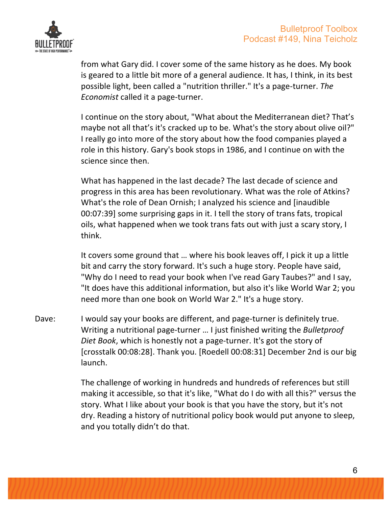

from what Gary did. I cover some of the same history as he does. My book is geared to a little bit more of a general audience. It has, I think, in its best possible light, been called a "nutrition thriller." It's a page-turner. The *Economist* called it a page-turner.

I continue on the story about, "What about the Mediterranean diet? That's maybe not all that's it's cracked up to be. What's the story about olive oil?" I really go into more of the story about how the food companies played a role in this history. Gary's book stops in 1986, and I continue on with the science since then.

What has happened in the last decade? The last decade of science and progress in this area has been revolutionary. What was the role of Atkins? What's the role of Dean Ornish; I analyzed his science and [inaudible 00:07:39] some surprising gaps in it. I tell the story of trans fats, tropical oils, what happened when we took trans fats out with just a scary story, I think.

It covers some ground that ... where his book leaves off, I pick it up a little bit and carry the story forward. It's such a huge story. People have said, "Why do I need to read your book when I've read Gary Taubes?" and I say, "It does have this additional information, but also it's like World War 2; you need more than one book on World War 2." It's a huge story.

Dave: I would say your books are different, and page-turner is definitely true. Writing a nutritional page-turner ... I just finished writing the *Bulletproof Diet Book*, which is honestly not a page-turner. It's got the story of [crosstalk 00:08:28]. Thank you. [Roedell 00:08:31] December 2nd is our big launch.

> The challenge of working in hundreds and hundreds of references but still making it accessible, so that it's like, "What do I do with all this?" versus the story. What I like about your book is that you have the story, but it's not dry. Reading a history of nutritional policy book would put anyone to sleep, and you totally didn't do that.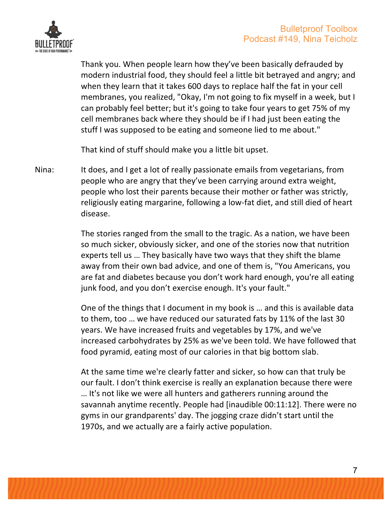

Thank you. When people learn how they've been basically defrauded by modern industrial food, they should feel a little bit betrayed and angry; and when they learn that it takes 600 days to replace half the fat in your cell membranes, you realized, "Okay, I'm not going to fix myself in a week, but I can probably feel better; but it's going to take four years to get 75% of my cell membranes back where they should be if I had just been eating the stuff I was supposed to be eating and someone lied to me about."

That kind of stuff should make you a little bit upset.

Nina: It does, and I get a lot of really passionate emails from vegetarians, from people who are angry that they've been carrying around extra weight, people who lost their parents because their mother or father was strictly, religiously eating margarine, following a low-fat diet, and still died of heart disease. 

> The stories ranged from the small to the tragic. As a nation, we have been so much sicker, obviously sicker, and one of the stories now that nutrition experts tell us ... They basically have two ways that they shift the blame away from their own bad advice, and one of them is, "You Americans, you are fat and diabetes because you don't work hard enough, you're all eating junk food, and you don't exercise enough. It's your fault."

> One of the things that I document in my book is ... and this is available data to them, too ... we have reduced our saturated fats by 11% of the last 30 years. We have increased fruits and vegetables by 17%, and we've increased carbohydrates by 25% as we've been told. We have followed that food pyramid, eating most of our calories in that big bottom slab.

> At the same time we're clearly fatter and sicker, so how can that truly be our fault. I don't think exercise is really an explanation because there were ... It's not like we were all hunters and gatherers running around the savannah anytime recently. People had [inaudible 00:11:12]. There were no gyms in our grandparents' day. The jogging craze didn't start until the 1970s, and we actually are a fairly active population.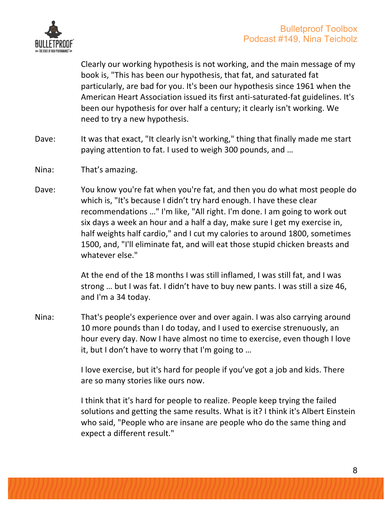

Clearly our working hypothesis is not working, and the main message of my book is, "This has been our hypothesis, that fat, and saturated fat particularly, are bad for you. It's been our hypothesis since 1961 when the American Heart Association issued its first anti-saturated-fat guidelines. It's been our hypothesis for over half a century; it clearly isn't working. We need to try a new hypothesis.

- Dave: It was that exact, "It clearly isn't working," thing that finally made me start paying attention to fat. I used to weigh 300 pounds, and ...
- Nina: That's amazing.
- Dave: You know you're fat when you're fat, and then you do what most people do which is, "It's because I didn't try hard enough. I have these clear recommendations ..." I'm like, "All right. I'm done. I am going to work out six days a week an hour and a half a day, make sure I get my exercise in, half weights half cardio," and I cut my calories to around 1800, sometimes 1500, and, "I'll eliminate fat, and will eat those stupid chicken breasts and whatever else."

At the end of the 18 months I was still inflamed, I was still fat, and I was strong ... but I was fat. I didn't have to buy new pants. I was still a size 46, and I'm a 34 today.

Nina: That's people's experience over and over again. I was also carrying around 10 more pounds than I do today, and I used to exercise strenuously, an hour every day. Now I have almost no time to exercise, even though I love it, but I don't have to worry that I'm going to ...

> I love exercise, but it's hard for people if you've got a job and kids. There are so many stories like ours now.

I think that it's hard for people to realize. People keep trying the failed solutions and getting the same results. What is it? I think it's Albert Einstein who said, "People who are insane are people who do the same thing and expect a different result."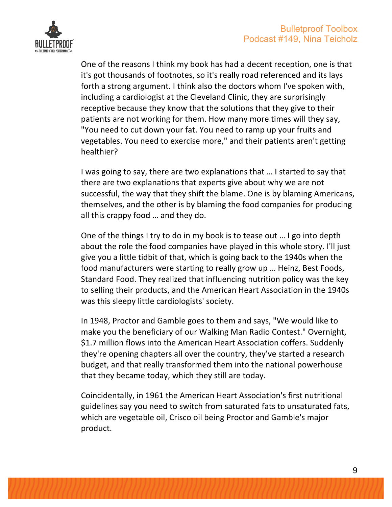

One of the reasons I think my book has had a decent reception, one is that it's got thousands of footnotes, so it's really road referenced and its lays forth a strong argument. I think also the doctors whom I've spoken with, including a cardiologist at the Cleveland Clinic, they are surprisingly receptive because they know that the solutions that they give to their patients are not working for them. How many more times will they say, "You need to cut down your fat. You need to ramp up your fruits and vegetables. You need to exercise more," and their patients aren't getting healthier?

I was going to say, there are two explanations that ... I started to say that there are two explanations that experts give about why we are not successful, the way that they shift the blame. One is by blaming Americans, themselves, and the other is by blaming the food companies for producing all this crappy food ... and they do.

One of the things I try to do in my book is to tease out ... I go into depth about the role the food companies have played in this whole story. I'll just give you a little tidbit of that, which is going back to the 1940s when the food manufacturers were starting to really grow up ... Heinz, Best Foods, Standard Food. They realized that influencing nutrition policy was the key to selling their products, and the American Heart Association in the 1940s was this sleepy little cardiologists' society.

In 1948, Proctor and Gamble goes to them and says, "We would like to make you the beneficiary of our Walking Man Radio Contest." Overnight, \$1.7 million flows into the American Heart Association coffers. Suddenly they're opening chapters all over the country, they've started a research budget, and that really transformed them into the national powerhouse that they became today, which they still are today.

Coincidentally, in 1961 the American Heart Association's first nutritional guidelines say you need to switch from saturated fats to unsaturated fats, which are vegetable oil, Crisco oil being Proctor and Gamble's major product.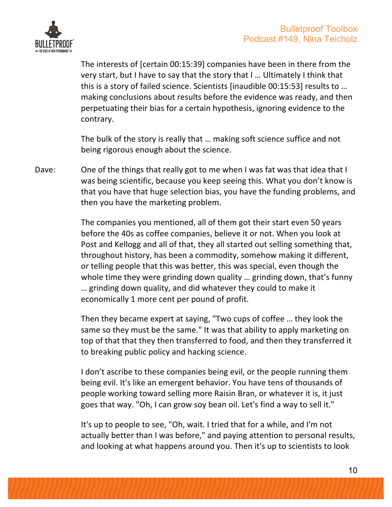

The interests of [certain 00:15:39] companies have been in there from the very start, but I have to say that the story that I ... Ultimately I think that this is a story of failed science. Scientists [inaudible 00:15:53] results to ... making conclusions about results before the evidence was ready, and then perpetuating their bias for a certain hypothesis, ignoring evidence to the contrary.

The bulk of the story is really that ... making soft science suffice and not being rigorous enough about the science.

Dave: One of the things that really got to me when I was fat was that idea that I was being scientific, because you keep seeing this. What you don't know is that you have that huge selection bias, you have the funding problems, and then you have the marketing problem.

> The companies you mentioned, all of them got their start even 50 years before the 40s as coffee companies, believe it or not. When you look at Post and Kellogg and all of that, they all started out selling something that, throughout history, has been a commodity, somehow making it different, or telling people that this was better, this was special, even though the whole time they were grinding down quality ... grinding down, that's funny ... grinding down quality, and did whatever they could to make it economically 1 more cent per pound of profit.

> Then they became expert at saying, "Two cups of coffee ... they look the same so they must be the same." It was that ability to apply marketing on top of that that they then transferred to food, and then they transferred it to breaking public policy and hacking science.

I don't ascribe to these companies being evil, or the people running them being evil. It's like an emergent behavior. You have tens of thousands of people working toward selling more Raisin Bran, or whatever it is, it just goes that way. "Oh, I can grow soy bean oil. Let's find a way to sell it."

It's up to people to see, "Oh, wait. I tried that for a while, and I'm not actually better than I was before," and paying attention to personal results, and looking at what happens around you. Then it's up to scientists to look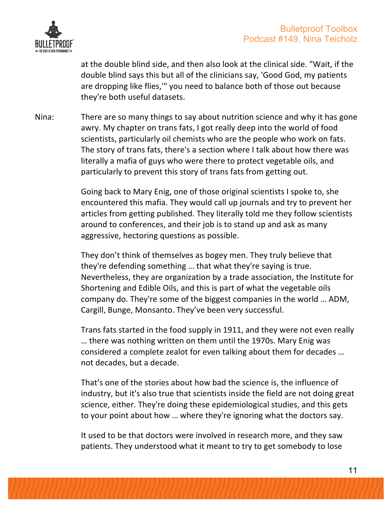

at the double blind side, and then also look at the clinical side. "Wait, if the double blind says this but all of the clinicians say, 'Good God, my patients are dropping like flies," you need to balance both of those out because they're both useful datasets.

Nina: There are so many things to say about nutrition science and why it has gone awry. My chapter on trans fats, I got really deep into the world of food scientists, particularly oil chemists who are the people who work on fats. The story of trans fats, there's a section where I talk about how there was literally a mafia of guys who were there to protect vegetable oils, and particularly to prevent this story of trans fats from getting out.

> Going back to Mary Enig, one of those original scientists I spoke to, she encountered this mafia. They would call up journals and try to prevent her articles from getting published. They literally told me they follow scientists around to conferences, and their job is to stand up and ask as many aggressive, hectoring questions as possible.

> They don't think of themselves as bogey men. They truly believe that they're defending something ... that what they're saying is true. Nevertheless, they are organization by a trade association, the Institute for Shortening and Edible Oils, and this is part of what the vegetable oils company do. They're some of the biggest companies in the world ... ADM, Cargill, Bunge, Monsanto. They've been very successful.

> Trans fats started in the food supply in 1911, and they were not even really ... there was nothing written on them until the 1970s. Mary Enig was considered a complete zealot for even talking about them for decades ... not decades, but a decade.

> That's one of the stories about how bad the science is, the influence of industry, but it's also true that scientists inside the field are not doing great science, either. They're doing these epidemiological studies, and this gets to your point about how ... where they're ignoring what the doctors say.

It used to be that doctors were involved in research more, and they saw patients. They understood what it meant to try to get somebody to lose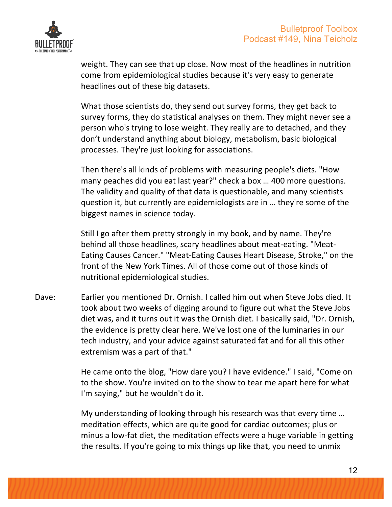

weight. They can see that up close. Now most of the headlines in nutrition come from epidemiological studies because it's very easy to generate headlines out of these big datasets.

What those scientists do, they send out survey forms, they get back to survey forms, they do statistical analyses on them. They might never see a person who's trying to lose weight. They really are to detached, and they don't understand anything about biology, metabolism, basic biological processes. They're just looking for associations.

Then there's all kinds of problems with measuring people's diets. "How many peaches did you eat last year?" check a box ... 400 more questions. The validity and quality of that data is questionable, and many scientists question it, but currently are epidemiologists are in ... they're some of the biggest names in science today.

Still I go after them pretty strongly in my book, and by name. They're behind all those headlines, scary headlines about meat-eating. "Meat-Eating Causes Cancer." "Meat-Eating Causes Heart Disease, Stroke," on the front of the New York Times. All of those come out of those kinds of nutritional epidemiological studies.

Dave: Earlier you mentioned Dr. Ornish. I called him out when Steve Jobs died. It took about two weeks of digging around to figure out what the Steve Jobs diet was, and it turns out it was the Ornish diet. I basically said, "Dr. Ornish, the evidence is pretty clear here. We've lost one of the luminaries in our tech industry, and your advice against saturated fat and for all this other extremism was a part of that."

> He came onto the blog, "How dare you? I have evidence." I said, "Come on to the show. You're invited on to the show to tear me apart here for what I'm saying," but he wouldn't do it.

> My understanding of looking through his research was that every time ... meditation effects, which are quite good for cardiac outcomes; plus or minus a low-fat diet, the meditation effects were a huge variable in getting the results. If you're going to mix things up like that, you need to unmix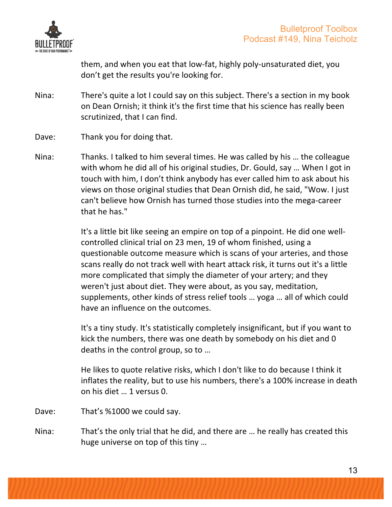

them, and when you eat that low-fat, highly poly-unsaturated diet, you don't get the results you're looking for.

- Nina: There's quite a lot I could say on this subject. There's a section in my book on Dean Ornish; it think it's the first time that his science has really been scrutinized, that I can find.
- Dave: Thank you for doing that.
- Nina: Thanks. I talked to him several times. He was called by his ... the colleague with whom he did all of his original studies, Dr. Gould, say ... When I got in touch with him, I don't think anybody has ever called him to ask about his views on those original studies that Dean Ornish did, he said, "Wow. I just can't believe how Ornish has turned those studies into the mega-career that he has."

It's a little bit like seeing an empire on top of a pinpoint. He did one wellcontrolled clinical trial on 23 men, 19 of whom finished, using a questionable outcome measure which is scans of your arteries, and those scans really do not track well with heart attack risk, it turns out it's a little more complicated that simply the diameter of your artery; and they weren't just about diet. They were about, as you say, meditation, supplements, other kinds of stress relief tools ... yoga ... all of which could have an influence on the outcomes.

It's a tiny study. It's statistically completely insignificant, but if you want to kick the numbers, there was one death by somebody on his diet and 0 deaths in the control group, so to ...

He likes to quote relative risks, which I don't like to do because I think it inflates the reality, but to use his numbers, there's a 100% increase in death on his diet ... 1 versus 0.

- Dave: That's %1000 we could say.
- Nina: That's the only trial that he did, and there are ... he really has created this huge universe on top of this tiny ...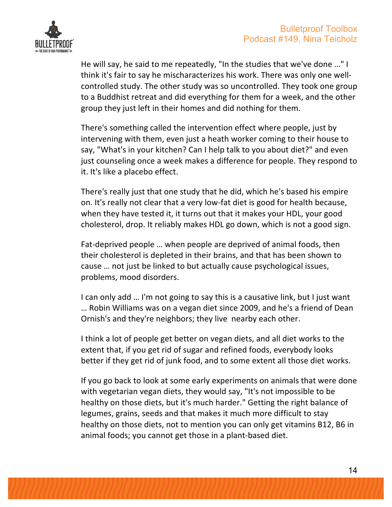

He will say, he said to me repeatedly, "In the studies that we've done ..." I think it's fair to say he mischaracterizes his work. There was only one wellcontrolled study. The other study was so uncontrolled. They took one group to a Buddhist retreat and did everything for them for a week, and the other group they just left in their homes and did nothing for them.

There's something called the intervention effect where people, just by intervening with them, even just a heath worker coming to their house to say, "What's in your kitchen? Can I help talk to you about diet?" and even just counseling once a week makes a difference for people. They respond to it. It's like a placebo effect.

There's really just that one study that he did, which he's based his empire on. It's really not clear that a very low-fat diet is good for health because, when they have tested it, it turns out that it makes your HDL, your good cholesterol, drop. It reliably makes HDL go down, which is not a good sign.

Fat-deprived people ... when people are deprived of animal foods, then their cholesterol is depleted in their brains, and that has been shown to cause ... not just be linked to but actually cause psychological issues, problems, mood disorders.

I can only add ... I'm not going to say this is a causative link, but I just want ... Robin Williams was on a vegan diet since 2009, and he's a friend of Dean Ornish's and they're neighbors; they live nearby each other.

I think a lot of people get better on vegan diets, and all diet works to the extent that, if you get rid of sugar and refined foods, everybody looks better if they get rid of junk food, and to some extent all those diet works.

If you go back to look at some early experiments on animals that were done with vegetarian vegan diets, they would say, "It's not impossible to be healthy on those diets, but it's much harder." Getting the right balance of legumes, grains, seeds and that makes it much more difficult to stay healthy on those diets, not to mention you can only get vitamins B12, B6 in animal foods; you cannot get those in a plant-based diet.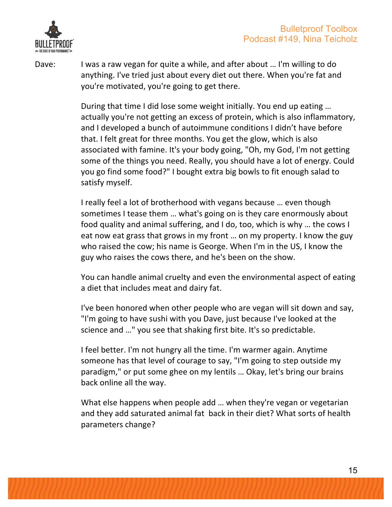

Dave: I was a raw vegan for quite a while, and after about ... I'm willing to do anything. I've tried just about every diet out there. When you're fat and you're motivated, you're going to get there.

> During that time I did lose some weight initially. You end up eating ... actually you're not getting an excess of protein, which is also inflammatory, and I developed a bunch of autoimmune conditions I didn't have before that. I felt great for three months. You get the glow, which is also associated with famine. It's your body going, "Oh, my God, I'm not getting some of the things you need. Really, you should have a lot of energy. Could you go find some food?" I bought extra big bowls to fit enough salad to satisfy myself.

> I really feel a lot of brotherhood with vegans because ... even though sometimes I tease them ... what's going on is they care enormously about food quality and animal suffering, and I do, too, which is why ... the cows I eat now eat grass that grows in my front ... on my property. I know the guy who raised the cow; his name is George. When I'm in the US, I know the guy who raises the cows there, and he's been on the show.

> You can handle animal cruelty and even the environmental aspect of eating a diet that includes meat and dairy fat.

> I've been honored when other people who are vegan will sit down and say, "I'm going to have sushi with you Dave, just because I've looked at the science and ..." you see that shaking first bite. It's so predictable.

I feel better. I'm not hungry all the time. I'm warmer again. Anytime someone has that level of courage to say, "I'm going to step outside my paradigm," or put some ghee on my lentils ... Okay, let's bring our brains back online all the way.

What else happens when people add ... when they're vegan or vegetarian and they add saturated animal fat back in their diet? What sorts of health parameters change?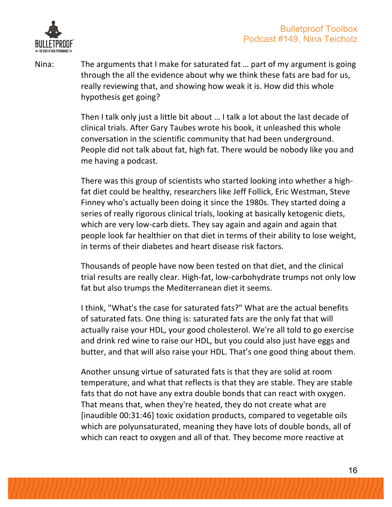

Nina: The arguments that I make for saturated fat ... part of my argument is going through the all the evidence about why we think these fats are bad for us, really reviewing that, and showing how weak it is. How did this whole hypothesis get going?

> Then I talk only just a little bit about ... I talk a lot about the last decade of clinical trials. After Gary Taubes wrote his book, it unleashed this whole conversation in the scientific community that had been underground. People did not talk about fat, high fat. There would be nobody like you and me having a podcast.

> There was this group of scientists who started looking into whether a highfat diet could be healthy, researchers like Jeff Follick, Eric Westman, Steve Finney who's actually been doing it since the 1980s. They started doing a series of really rigorous clinical trials, looking at basically ketogenic diets, which are very low-carb diets. They say again and again and again that people look far healthier on that diet in terms of their ability to lose weight, in terms of their diabetes and heart disease risk factors.

> Thousands of people have now been tested on that diet, and the clinical trial results are really clear. High-fat, low-carbohydrate trumps not only low fat but also trumps the Mediterranean diet it seems.

> I think, "What's the case for saturated fats?" What are the actual benefits of saturated fats. One thing is: saturated fats are the only fat that will actually raise your HDL, your good cholesterol. We're all told to go exercise and drink red wine to raise our HDL, but you could also just have eggs and butter, and that will also raise your HDL. That's one good thing about them.

> Another unsung virtue of saturated fats is that they are solid at room temperature, and what that reflects is that they are stable. They are stable fats that do not have any extra double bonds that can react with oxygen. That means that, when they're heated, they do not create what are [inaudible 00:31:46] toxic oxidation products, compared to vegetable oils which are polyunsaturated, meaning they have lots of double bonds, all of which can react to oxygen and all of that. They become more reactive at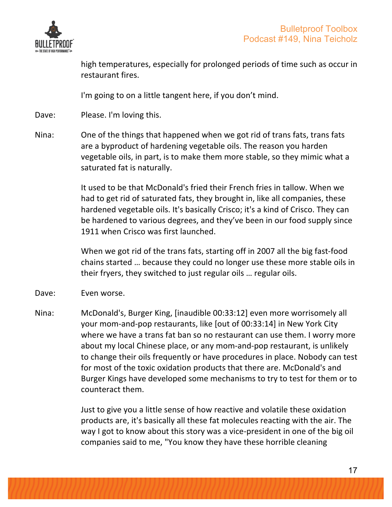

high temperatures, especially for prolonged periods of time such as occur in restaurant fires.

I'm going to on a little tangent here, if you don't mind.

Dave: Please. I'm loving this.

Nina: One of the things that happened when we got rid of trans fats, trans fats are a byproduct of hardening vegetable oils. The reason you harden vegetable oils, in part, is to make them more stable, so they mimic what a saturated fat is naturally.

> It used to be that McDonald's fried their French fries in tallow. When we had to get rid of saturated fats, they brought in, like all companies, these hardened vegetable oils. It's basically Crisco; it's a kind of Crisco. They can be hardened to various degrees, and they've been in our food supply since 1911 when Crisco was first launched.

When we got rid of the trans fats, starting off in 2007 all the big fast-food chains started ... because they could no longer use these more stable oils in their fryers, they switched to just regular oils ... regular oils.

- Dave: Even worse.
- Nina: McDonald's, Burger King, [inaudible 00:33:12] even more worrisomely all your mom-and-pop restaurants, like [out of 00:33:14] in New York City where we have a trans fat ban so no restaurant can use them. I worry more about my local Chinese place, or any mom-and-pop restaurant, is unlikely to change their oils frequently or have procedures in place. Nobody can test for most of the toxic oxidation products that there are. McDonald's and Burger Kings have developed some mechanisms to try to test for them or to counteract them.

Just to give you a little sense of how reactive and volatile these oxidation products are, it's basically all these fat molecules reacting with the air. The way I got to know about this story was a vice-president in one of the big oil companies said to me, "You know they have these horrible cleaning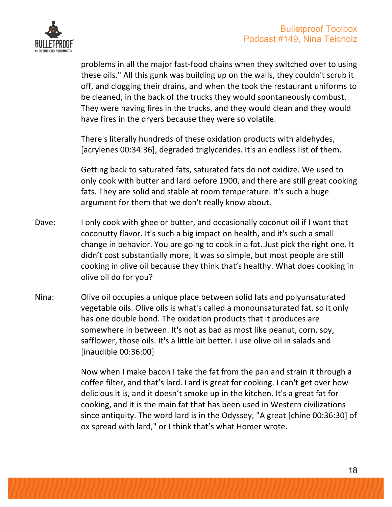

problems in all the major fast-food chains when they switched over to using these oils." All this gunk was building up on the walls, they couldn't scrub it off, and clogging their drains, and when the took the restaurant uniforms to be cleaned, in the back of the trucks they would spontaneously combust. They were having fires in the trucks, and they would clean and they would have fires in the dryers because they were so volatile.

There's literally hundreds of these oxidation products with aldehydes, [acrylenes 00:34:36], degraded triglycerides. It's an endless list of them.

Getting back to saturated fats, saturated fats do not oxidize. We used to only cook with butter and lard before 1900, and there are still great cooking fats. They are solid and stable at room temperature. It's such a huge argument for them that we don't really know about.

- Dave: I only cook with ghee or butter, and occasionally coconut oil if I want that coconutty flavor. It's such a big impact on health, and it's such a small change in behavior. You are going to cook in a fat. Just pick the right one. It didn't cost substantially more, it was so simple, but most people are still cooking in olive oil because they think that's healthy. What does cooking in olive oil do for you?
- Nina: Olive oil occupies a unique place between solid fats and polyunsaturated vegetable oils. Olive oils is what's called a monounsaturated fat, so it only has one double bond. The oxidation products that it produces are somewhere in between. It's not as bad as most like peanut, corn, soy, safflower, those oils. It's a little bit better. I use olive oil in salads and [inaudible 00:36:00]

Now when I make bacon I take the fat from the pan and strain it through a coffee filter, and that's lard. Lard is great for cooking. I can't get over how delicious it is, and it doesn't smoke up in the kitchen. It's a great fat for cooking, and it is the main fat that has been used in Western civilizations since antiquity. The word lard is in the Odyssey, "A great (chine 00:36:30) of ox spread with lard," or I think that's what Homer wrote.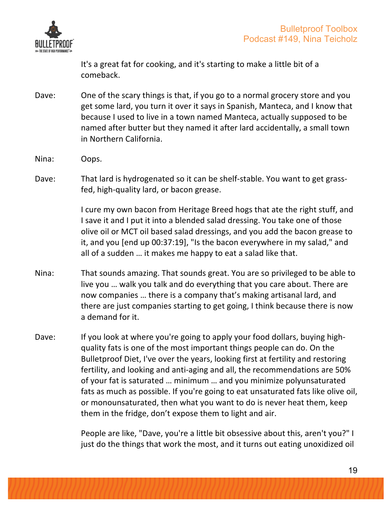

It's a great fat for cooking, and it's starting to make a little bit of a comeback.

- Dave: One of the scary things is that, if you go to a normal grocery store and you get some lard, you turn it over it says in Spanish, Manteca, and I know that because I used to live in a town named Manteca, actually supposed to be named after butter but they named it after lard accidentally, a small town in Northern California.
- Nina: Oops.
- Dave: That lard is hydrogenated so it can be shelf-stable. You want to get grassfed, high-quality lard, or bacon grease.

I cure my own bacon from Heritage Breed hogs that ate the right stuff, and I save it and I put it into a blended salad dressing. You take one of those olive oil or MCT oil based salad dressings, and you add the bacon grease to it, and you [end up 00:37:19], "Is the bacon everywhere in my salad," and all of a sudden ... it makes me happy to eat a salad like that.

- Nina: That sounds amazing. That sounds great. You are so privileged to be able to live you ... walk you talk and do everything that you care about. There are now companies ... there is a company that's making artisanal lard, and there are just companies starting to get going, I think because there is now a demand for it.
- Dave: If you look at where you're going to apply your food dollars, buying highquality fats is one of the most important things people can do. On the Bulletproof Diet, I've over the years, looking first at fertility and restoring fertility, and looking and anti-aging and all, the recommendations are 50% of your fat is saturated ... minimum ... and you minimize polyunsaturated fats as much as possible. If you're going to eat unsaturated fats like olive oil, or monounsaturated, then what you want to do is never heat them, keep them in the fridge, don't expose them to light and air.

People are like, "Dave, you're a little bit obsessive about this, aren't you?" I just do the things that work the most, and it turns out eating unoxidized oil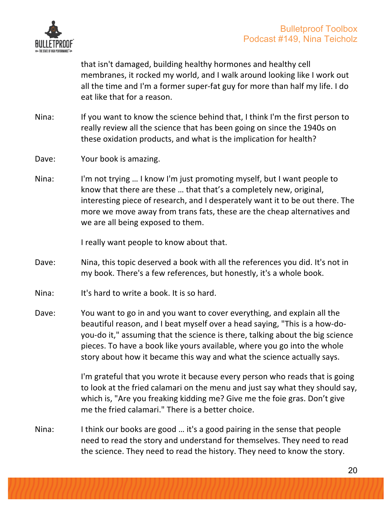

that isn't damaged, building healthy hormones and healthy cell membranes, it rocked my world, and I walk around looking like I work out all the time and I'm a former super-fat guy for more than half my life. I do eat like that for a reason.

- Nina: If you want to know the science behind that, I think I'm the first person to really review all the science that has been going on since the 1940s on these oxidation products, and what is the implication for health?
- Dave: Your book is amazing.
- Nina: I'm not trying ... I know I'm just promoting myself, but I want people to know that there are these ... that that's a completely new, original, interesting piece of research, and I desperately want it to be out there. The more we move away from trans fats, these are the cheap alternatives and we are all being exposed to them.

I really want people to know about that.

- Dave: Nina, this topic deserved a book with all the references you did. It's not in my book. There's a few references, but honestly, it's a whole book.
- Nina: It's hard to write a book. It is so hard.
- Dave: You want to go in and you want to cover everything, and explain all the beautiful reason, and I beat myself over a head saying, "This is a how-doyou-do it," assuming that the science is there, talking about the big science pieces. To have a book like yours available, where you go into the whole story about how it became this way and what the science actually says.

I'm grateful that you wrote it because every person who reads that is going to look at the fried calamari on the menu and just say what they should say, which is, "Are you freaking kidding me? Give me the foie gras. Don't give me the fried calamari." There is a better choice.

Nina: I think our books are good  $\ldots$  it's a good pairing in the sense that people need to read the story and understand for themselves. They need to read the science. They need to read the history. They need to know the story.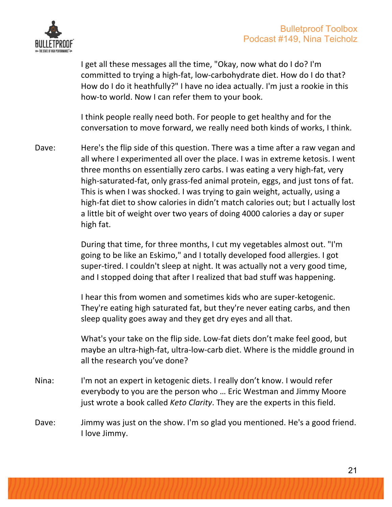

I get all these messages all the time, "Okay, now what do I do? I'm committed to trying a high-fat, low-carbohydrate diet. How do I do that? How do I do it heathfully?" I have no idea actually. I'm just a rookie in this how-to world. Now I can refer them to your book.

I think people really need both. For people to get healthy and for the conversation to move forward, we really need both kinds of works, I think.

Dave: Here's the flip side of this question. There was a time after a raw vegan and all where I experimented all over the place. I was in extreme ketosis. I went three months on essentially zero carbs. I was eating a very high-fat, very high-saturated-fat, only grass-fed animal protein, eggs, and just tons of fat. This is when I was shocked. I was trying to gain weight, actually, using a high-fat diet to show calories in didn't match calories out; but I actually lost a little bit of weight over two years of doing 4000 calories a day or super high fat.

> During that time, for three months, I cut my vegetables almost out. "I'm going to be like an Eskimo," and I totally developed food allergies. I got super-tired. I couldn't sleep at night. It was actually not a very good time, and I stopped doing that after I realized that bad stuff was happening.

I hear this from women and sometimes kids who are super-ketogenic. They're eating high saturated fat, but they're never eating carbs, and then sleep quality goes away and they get dry eyes and all that.

What's your take on the flip side. Low-fat diets don't make feel good, but maybe an ultra-high-fat, ultra-low-carb diet. Where is the middle ground in all the research you've done?

- Nina: I'm not an expert in ketogenic diets. I really don't know. I would refer everybody to you are the person who ... Eric Westman and Jimmy Moore just wrote a book called *Keto Clarity*. They are the experts in this field.
- Dave: Jimmy was just on the show. I'm so glad you mentioned. He's a good friend. I love Jimmy.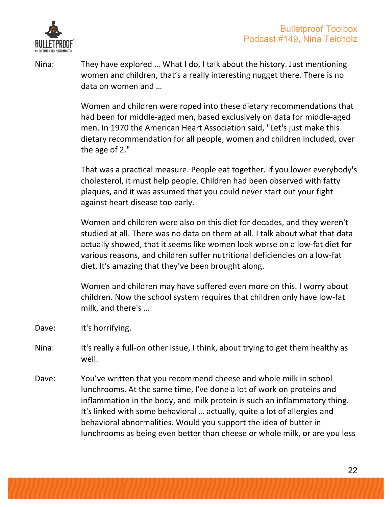

Nina: They have explored ... What I do, I talk about the history. Just mentioning women and children, that's a really interesting nugget there. There is no data on women and …

> Women and children were roped into these dietary recommendations that had been for middle-aged men, based exclusively on data for middle-aged men. In 1970 the American Heart Association said, "Let's just make this dietary recommendation for all people, women and children included, over the age of  $2."$

> That was a practical measure. People eat together. If you lower everybody's cholesterol, it must help people. Children had been observed with fatty plaques, and it was assumed that you could never start out your fight against heart disease too early.

Women and children were also on this diet for decades, and they weren't studied at all. There was no data on them at all. I talk about what that data actually showed, that it seems like women look worse on a low-fat diet for various reasons, and children suffer nutritional deficiencies on a low-fat diet. It's amazing that they've been brought along.

Women and children may have suffered even more on this. I worry about children. Now the school system requires that children only have low-fat milk, and there's ...

- Dave: It's horrifying.
- Nina: It's really a full-on other issue, I think, about trying to get them healthy as well.
- Dave: You've written that you recommend cheese and whole milk in school lunchrooms. At the same time, I've done a lot of work on proteins and inflammation in the body, and milk protein is such an inflammatory thing. It's linked with some behavioral ... actually, quite a lot of allergies and behavioral abnormalities. Would you support the idea of butter in lunchrooms as being even better than cheese or whole milk, or are you less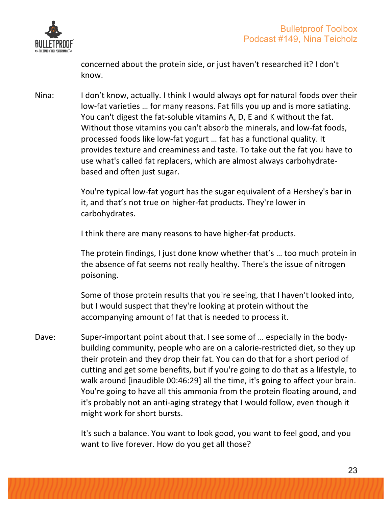

concerned about the protein side, or just haven't researched it? I don't know.

Nina: I don't know, actually. I think I would always opt for natural foods over their low-fat varieties ... for many reasons. Fat fills you up and is more satiating. You can't digest the fat-soluble vitamins A, D, E and K without the fat. Without those vitamins you can't absorb the minerals, and low-fat foods, processed foods like low-fat yogurt ... fat has a functional quality. It provides texture and creaminess and taste. To take out the fat you have to use what's called fat replacers, which are almost always carbohydratebased and often just sugar.

> You're typical low-fat yogurt has the sugar equivalent of a Hershey's bar in it, and that's not true on higher-fat products. They're lower in carbohydrates.

I think there are many reasons to have higher-fat products.

The protein findings, I just done know whether that's ... too much protein in the absence of fat seems not really healthy. There's the issue of nitrogen poisoning. 

Some of those protein results that you're seeing, that I haven't looked into, but I would suspect that they're looking at protein without the accompanying amount of fat that is needed to process it.

Dave: Super-important point about that. I see some of ... especially in the bodybuilding community, people who are on a calorie-restricted diet, so they up their protein and they drop their fat. You can do that for a short period of cutting and get some benefits, but if you're going to do that as a lifestyle, to walk around [inaudible 00:46:29] all the time, it's going to affect your brain. You're going to have all this ammonia from the protein floating around, and it's probably not an anti-aging strategy that I would follow, even though it might work for short bursts.

> It's such a balance. You want to look good, you want to feel good, and you want to live forever. How do you get all those?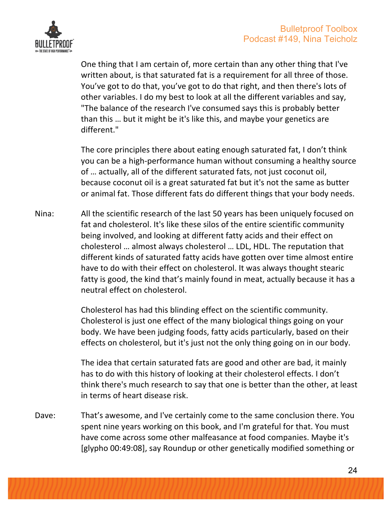

One thing that I am certain of, more certain than any other thing that I've written about, is that saturated fat is a requirement for all three of those. You've got to do that, you've got to do that right, and then there's lots of other variables. I do my best to look at all the different variables and say, "The balance of the research I've consumed says this is probably better than this ... but it might be it's like this, and maybe your genetics are different."

The core principles there about eating enough saturated fat, I don't think you can be a high-performance human without consuming a healthy source of ... actually, all of the different saturated fats, not just coconut oil, because coconut oil is a great saturated fat but it's not the same as butter or animal fat. Those different fats do different things that your body needs.

Nina: All the scientific research of the last 50 years has been uniquely focused on fat and cholesterol. It's like these silos of the entire scientific community being involved, and looking at different fatty acids and their effect on cholesterol ... almost always cholesterol ... LDL, HDL. The reputation that different kinds of saturated fatty acids have gotten over time almost entire have to do with their effect on cholesterol. It was always thought stearic fatty is good, the kind that's mainly found in meat, actually because it has a neutral effect on cholesterol.

> Cholesterol has had this blinding effect on the scientific community. Cholesterol is just one effect of the many biological things going on your body. We have been judging foods, fatty acids particularly, based on their effects on cholesterol, but it's just not the only thing going on in our body.

The idea that certain saturated fats are good and other are bad, it mainly has to do with this history of looking at their cholesterol effects. I don't think there's much research to say that one is better than the other, at least in terms of heart disease risk.

Dave: That's awesome, and I've certainly come to the same conclusion there. You spent nine years working on this book, and I'm grateful for that. You must have come across some other malfeasance at food companies. Maybe it's [glypho 00:49:08], say Roundup or other genetically modified something or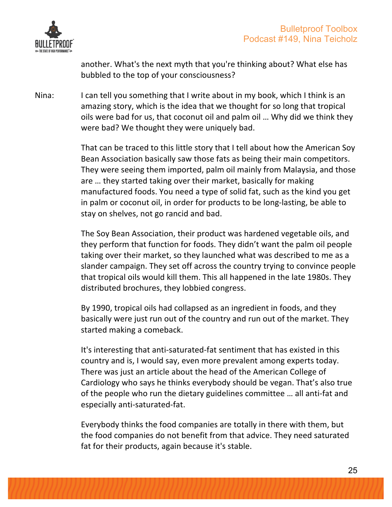

another. What's the next myth that you're thinking about? What else has bubbled to the top of your consciousness?

Nina: I can tell you something that I write about in my book, which I think is an amazing story, which is the idea that we thought for so long that tropical oils were bad for us, that coconut oil and palm oil ... Why did we think they were bad? We thought they were uniquely bad.

> That can be traced to this little story that I tell about how the American Soy Bean Association basically saw those fats as being their main competitors. They were seeing them imported, palm oil mainly from Malaysia, and those are ... they started taking over their market, basically for making manufactured foods. You need a type of solid fat, such as the kind you get in palm or coconut oil, in order for products to be long-lasting, be able to stay on shelves, not go rancid and bad.

> The Soy Bean Association, their product was hardened vegetable oils, and they perform that function for foods. They didn't want the palm oil people taking over their market, so they launched what was described to me as a slander campaign. They set off across the country trying to convince people that tropical oils would kill them. This all happened in the late 1980s. They distributed brochures, they lobbied congress.

By 1990, tropical oils had collapsed as an ingredient in foods, and they basically were just run out of the country and run out of the market. They started making a comeback.

It's interesting that anti-saturated-fat sentiment that has existed in this country and is, I would say, even more prevalent among experts today. There was just an article about the head of the American College of Cardiology who says he thinks everybody should be vegan. That's also true of the people who run the dietary guidelines committee ... all anti-fat and especially anti-saturated-fat. 

Everybody thinks the food companies are totally in there with them, but the food companies do not benefit from that advice. They need saturated fat for their products, again because it's stable.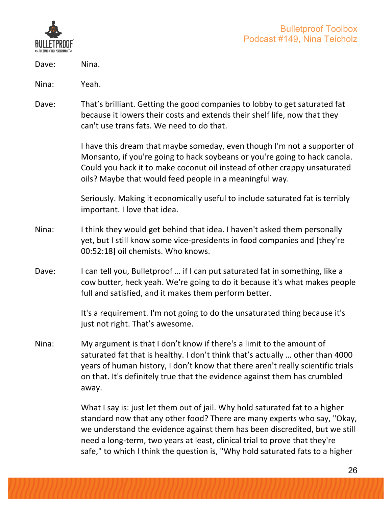

- Dave: Nina.
- Nina: Yeah.
- Dave: That's brilliant. Getting the good companies to lobby to get saturated fat because it lowers their costs and extends their shelf life, now that they can't use trans fats. We need to do that.

I have this dream that maybe someday, even though I'm not a supporter of Monsanto, if you're going to hack soybeans or you're going to hack canola. Could you hack it to make coconut oil instead of other crappy unsaturated oils? Maybe that would feed people in a meaningful way.

Seriously. Making it economically useful to include saturated fat is terribly important. I love that idea.

- Nina: I think they would get behind that idea. I haven't asked them personally yet, but I still know some vice-presidents in food companies and [they're 00:52:18] oil chemists. Who knows.
- Dave: I can tell you, Bulletproof ... if I can put saturated fat in something, like a cow butter, heck yeah. We're going to do it because it's what makes people full and satisfied, and it makes them perform better.

It's a requirement. I'm not going to do the unsaturated thing because it's just not right. That's awesome.

Nina: My argument is that I don't know if there's a limit to the amount of saturated fat that is healthy. I don't think that's actually ... other than 4000 years of human history, I don't know that there aren't really scientific trials on that. It's definitely true that the evidence against them has crumbled away.

> What I say is: just let them out of jail. Why hold saturated fat to a higher standard now that any other food? There are many experts who say, "Okay, we understand the evidence against them has been discredited, but we still need a long-term, two years at least, clinical trial to prove that they're safe," to which I think the question is, "Why hold saturated fats to a higher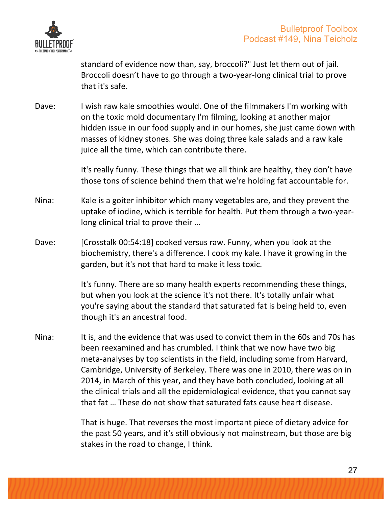

standard of evidence now than, say, broccoli?" Just let them out of jail. Broccoli doesn't have to go through a two-year-long clinical trial to prove that it's safe.

Dave: I wish raw kale smoothies would. One of the filmmakers I'm working with on the toxic mold documentary I'm filming, looking at another major hidden issue in our food supply and in our homes, she just came down with masses of kidney stones. She was doing three kale salads and a raw kale juice all the time, which can contribute there.

> It's really funny. These things that we all think are healthy, they don't have those tons of science behind them that we're holding fat accountable for.

- Nina: Kale is a goiter inhibitor which many vegetables are, and they prevent the uptake of iodine, which is terrible for health. Put them through a two-yearlong clinical trial to prove their ...
- Dave: [Crosstalk 00:54:18] cooked versus raw. Funny, when you look at the biochemistry, there's a difference. I cook my kale. I have it growing in the garden, but it's not that hard to make it less toxic.

It's funny. There are so many health experts recommending these things, but when you look at the science it's not there. It's totally unfair what you're saying about the standard that saturated fat is being held to, even though it's an ancestral food.

Nina: It is, and the evidence that was used to convict them in the 60s and 70s has been reexamined and has crumbled. I think that we now have two big meta-analyses by top scientists in the field, including some from Harvard, Cambridge, University of Berkeley. There was one in 2010, there was on in 2014, in March of this year, and they have both concluded, looking at all the clinical trials and all the epidemiological evidence, that you cannot say that fat ... These do not show that saturated fats cause heart disease.

> That is huge. That reverses the most important piece of dietary advice for the past 50 years, and it's still obviously not mainstream, but those are big stakes in the road to change, I think.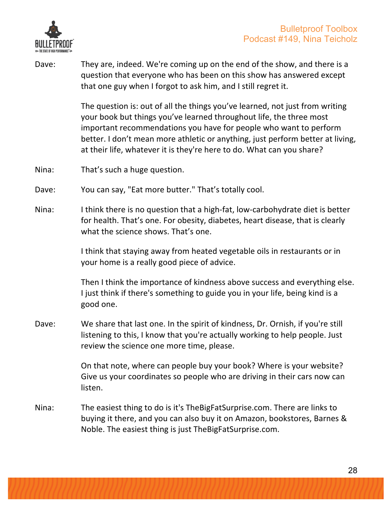

Dave: They are, indeed. We're coming up on the end of the show, and there is a question that everyone who has been on this show has answered except that one guy when I forgot to ask him, and I still regret it.

> The question is: out of all the things you've learned, not just from writing your book but things you've learned throughout life, the three most important recommendations you have for people who want to perform better. I don't mean more athletic or anything, just perform better at living, at their life, whatever it is they're here to do. What can you share?

- Nina: That's such a huge question.
- Dave: You can say, "Eat more butter." That's totally cool.
- Nina: I think there is no question that a high-fat, low-carbohydrate diet is better for health. That's one. For obesity, diabetes, heart disease, that is clearly what the science shows. That's one.

I think that staying away from heated vegetable oils in restaurants or in your home is a really good piece of advice.

Then I think the importance of kindness above success and everything else. I just think if there's something to guide you in your life, being kind is a good one.

Dave: We share that last one. In the spirit of kindness, Dr. Ornish, if you're still listening to this, I know that you're actually working to help people. Just review the science one more time, please.

> On that note, where can people buy your book? Where is your website? Give us your coordinates so people who are driving in their cars now can listen.

Nina: The easiest thing to do is it's TheBigFatSurprise.com. There are links to buying it there, and you can also buy it on Amazon, bookstores, Barnes & Noble. The easiest thing is just TheBigFatSurprise.com.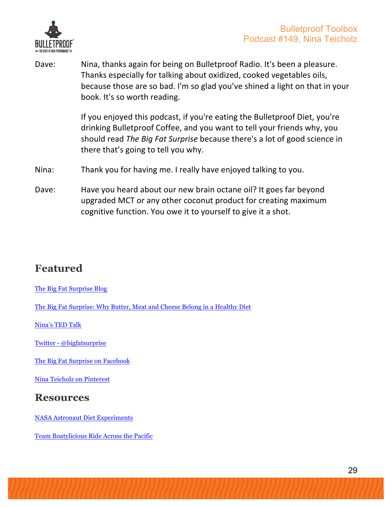

Dave: Nina, thanks again for being on Bulletproof Radio. It's been a pleasure. Thanks especially for talking about oxidized, cooked vegetables oils, because those are so bad. I'm so glad you've shined a light on that in your book. It's so worth reading.

> If you enjoyed this podcast, if you're eating the Bulletproof Diet, you're drinking Bulletproof Coffee, and you want to tell your friends why, you should read *The Big Fat Surprise* because there's a lot of good science in there that's going to tell you why.

- Nina: Thank you for having me. I really have enjoyed talking to you.
- Dave: Have you heard about our new brain octane oil? It goes far beyond upgraded MCT or any other coconut product for creating maximum cognitive function. You owe it to yourself to give it a shot.

### **Featured**

The Big Fat Surprise Blog

The Big Fat Surprise: Why Butter, Meat and Cheese Belong in a Healthy Diet

Nina's TED Talk

Twitter - @bigfatsurprise

The Big Fat Surprise on Facebook

Nina Teicholz on Pinterest

#### **Resources**

NASA Astronaut Diet Experiments

Team Boatylicious Ride Across the Pacific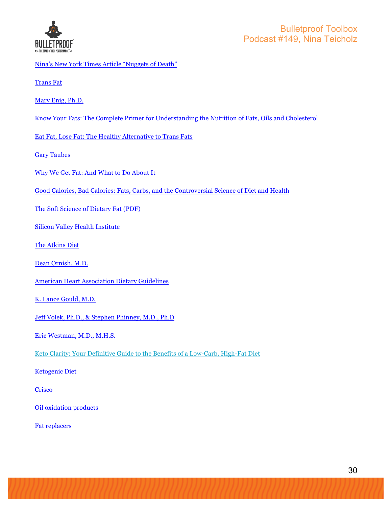

- Nina's New York Times Article "Nuggets of Death"
- Trans Fat

Mary Enig, Ph.D.

Know Your Fats: The Complete Primer for Understanding the Nutrition of Fats, Oils and Cholesterol

Eat Fat, Lose Fat: The Healthy Alternative to Trans Fats

Gary Taubes

- Why We Get Fat: And What to Do About It
- Good Calories, Bad Calories: Fats, Carbs, and the Controversial Science of Diet and Health

The Soft Science of Dietary Fat (PDF)

Silicon Valley Health Institute

The Atkins Diet

Dean Ornish, M.D.

American Heart Association Dietary Guidelines

K. Lance Gould, M.D.

Jeff Volek, Ph.D., & Stephen Phinney, M.D., Ph.D

Eric Westman, M.D., M.H.S.

Keto Clarity: Your Definitive Guide to the Benefits of a Low-Carb, High-Fat Diet

Ketogenic Diet

**Crisco** 

Oil oxidation products

Fat replacers